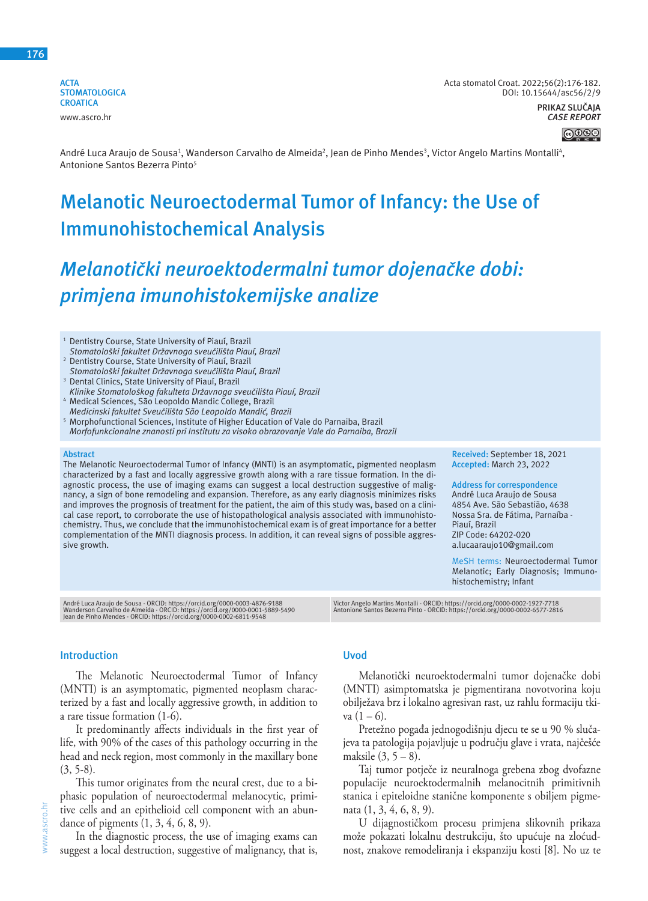**176**

**ACTA STOMATOLOGICA CROATICA** www.ascro.hr

Acta stomatol Croat. 2022;56(2):176-182. DOI: 10.15644/asc56/2/9 **PRIKAZ SLUČAJA** *CASE REPORT*



André Luca Araujo de Sousa<sup>1</sup>, Wanderson Carvalho de Almeida<sup>2</sup>, Jean de Pinho Mendes<sup>3</sup>, Victor Angelo Martins Montalli<sup>4</sup>, Antonione Santos Bezerra Pinto<sup>5</sup>

# **Melanotic Neuroectodermal Tumor of Infancy: the Use of Immunohistochemical Analysis**

# *Melanotički neuroektodermalni tumor dojenačke dobi: primjena imunohistokemijske analize*

<sup>1</sup> Dentistry Course, State University of Piauí, Brazil *Stomatološki fakultet Državnoga sveučilišta Piauí, Brazil* 

- <sup>2</sup> Dentistry Course, State University of Piauí, Brazil *Stomatološki fakultet Državnoga sveučilišta Piauí, Brazil*
- <sup>3</sup> Dental Clinics, State University of Piauí, Brazil *Klinike Stomatološkog fakulteta Državnoga sveučilišta Piauí, Brazil*
- 4 Medical Sciences, São Leopoldo Mandic College, Brazil *Medicinski fakultet Sveučilišta São Leopoldo Mandić, Brazil*
- <sup>5</sup> Morphofunctional Sciences, Institute of Higher Education of Vale do Parnaiba, Brazil *Morfofunkcionalne znanosti pri Institutu za visoko obrazovanje Vale do Parnaiba, Brazil*

#### **Abstract**

The Melanotic Neuroectodermal Tumor of Infancy (MNTI) is an asymptomatic, pigmented neoplasm characterized by a fast and locally aggressive growth along with a rare tissue formation. In the diagnostic process, the use of imaging exams can suggest a local destruction suggestive of malignancy, a sign of bone remodeling and expansion. Therefore, as any early diagnosis minimizes risks and improves the prognosis of treatment for the patient, the aim of this study was, based on a clinical case report, to corroborate the use of histopathological analysis associated with immunohistochemistry. Thus, we conclude that the immunohistochemical exam is of great importance for a better complementation of the MNTI diagnosis process. In addition, it can reveal signs of possible aggressive growth.

**Received:** September 18, 2021 **Accepted:** March 23, 2022

**Address for correspondence** André Luca Araujo de Sousa 4854 Ave. São Sebastião, 4638 Nossa Sra. de Fátima, Parnaíba - Piauí, Brazil ZIP Code: 64202-020 a.lucaaraujo10@gmail.com

MeSH terms: Neuroectodermal Tumor Melanotic; Early Diagnosis; Immunohistochemistry; Infant

André Luca Araujo de Sousa - ORCID: https://orcid.org/0000-0003-4876-9188<br>Wanderson Carvalho de Almeida - ORCID: https://orcid.org/0000-0001-5889-5490<br>Jean de Pinho Mendes - ORCID: https://orcid.org/0000-0002-6811-9548

Victor Angelo Martins Montalli - ORCID: https://orcid.org/0000-0002-1927-7718 Antonione Santos Bezerra Pinto - ORCID: https://orcid.org/0000-0002-6577-2816

#### **Introduction**

The Melanotic Neuroectodermal Tumor of Infancy (MNTI) is an asymptomatic, pigmented neoplasm characterized by a fast and locally aggressive growth, in addition to a rare tissue formation (1-6).

It predominantly affects individuals in the first year of life, with 90% of the cases of this pathology occurring in the head and neck region, most commonly in the maxillary bone (3, 5-8).

This tumor originates from the neural crest, due to a biphasic population of neuroectodermal melanocytic, primitive cells and an epithelioid cell component with an abundance of pigments (1, 3, 4, 6, 8, 9).

In the diagnostic process, the use of imaging exams can suggest a local destruction, suggestive of malignancy, that is,

# **Uvod**

Melanotički neuroektodermalni tumor dojenačke dobi (MNTI) asimptomatska je pigmentirana novotvorina koju obilježava brz i lokalno agresivan rast, uz rahlu formaciju tkiva  $(1 - 6)$ .

Pretežno pogađa jednogodišnju djecu te se u 90 % slučajeva ta patologija pojavljuje u području glave i vrata, najčešće maksile (3, 5 – 8).

Taj tumor potječe iz neuralnoga grebena zbog dvofazne populacije neuroektodermalnih melanocitnih primitivnih stanica i epiteloidne stanične komponente s obiljem pigmenata (1, 3, 4, 6, 8, 9).

U dijagnostičkom procesu primjena slikovnih prikaza može pokazati lokalnu destrukciju, što upućuje na zloćudnost, znakove remodeliranja i ekspanziju kosti [8]. No uz te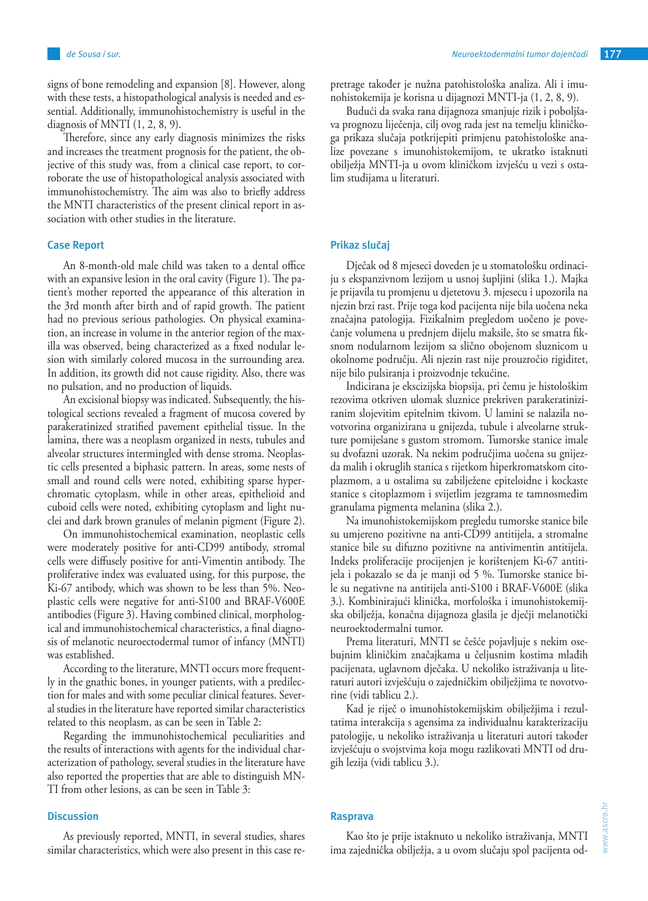signs of bone remodeling and expansion [8]. However, along with these tests, a histopathological analysis is needed and essential. Additionally, immunohistochemistry is useful in the diagnosis of MNTI (1, 2, 8, 9).

Therefore, since any early diagnosis minimizes the risks and increases the treatment prognosis for the patient, the objective of this study was, from a clinical case report, to corroborate the use of histopathological analysis associated with immunohistochemistry. The aim was also to briefly address the MNTI characteristics of the present clinical report in association with other studies in the literature.

### **Case Report**

An 8-month-old male child was taken to a dental office with an expansive lesion in the oral cavity (Figure 1). The patient's mother reported the appearance of this alteration in the 3rd month after birth and of rapid growth. The patient had no previous serious pathologies. On physical examination, an increase in volume in the anterior region of the maxilla was observed, being characterized as a fixed nodular lesion with similarly colored mucosa in the surrounding area. In addition, its growth did not cause rigidity. Also, there was no pulsation, and no production of liquids.

An excisional biopsy was indicated. Subsequently, the histological sections revealed a fragment of mucosa covered by parakeratinized stratified pavement epithelial tissue. In the lamina, there was a neoplasm organized in nests, tubules and alveolar structures intermingled with dense stroma. Neoplastic cells presented a biphasic pattern. In areas, some nests of small and round cells were noted, exhibiting sparse hyperchromatic cytoplasm, while in other areas, epithelioid and cuboid cells were noted, exhibiting cytoplasm and light nuclei and dark brown granules of melanin pigment (Figure 2).

On immunohistochemical examination, neoplastic cells were moderately positive for anti-CD99 antibody, stromal cells were diffusely positive for anti-Vimentin antibody. The proliferative index was evaluated using, for this purpose, the Ki-67 antibody, which was shown to be less than 5%. Neoplastic cells were negative for anti-S100 and BRAF-V600E antibodies (Figure 3). Having combined clinical, morphological and immunohistochemical characteristics, a final diagnosis of melanotic neuroectodermal tumor of infancy (MNTI) was established.

According to the literature, MNTI occurs more frequently in the gnathic bones, in younger patients, with a predilection for males and with some peculiar clinical features. Several studies in the literature have reported similar characteristics related to this neoplasm, as can be seen in Table 2:

Regarding the immunohistochemical peculiarities and the results of interactions with agents for the individual characterization of pathology, several studies in the literature have also reported the properties that are able to distinguish MN-TI from other lesions, as can be seen in Table 3:

#### **Discussion**

As previously reported, MNTI, in several studies, shares similar characteristics, which were also present in this case repretrage također je nužna patohistološka analiza. Ali i imunohistokemija je korisna u dijagnozi MNTI-ja (1, 2, 8, 9).

Budući da svaka rana dijagnoza smanjuje rizik i poboljšava prognozu liječenja, cilj ovog rada jest na temelju kliničkoga prikaza slučaja potkrijepiti primjenu patohistološke analize povezane s imunohistokemijom, te ukratko istaknuti obilježja MNTI-ja u ovom kliničkom izvješću u vezi s ostalim studijama u literaturi.

#### **Prikaz slučaj**

Dječak od 8 mjeseci doveden je u stomatološku ordinaciju s ekspanzivnom lezijom u usnoj šupljini (slika 1.). Majka je prijavila tu promjenu u djetetovu 3. mjesecu i upozorila na njezin brzi rast. Prije toga kod pacijenta nije bila uočena neka značajna patologija. Fizikalnim pregledom uočeno je povećanje volumena u prednjem dijelu maksile, što se smatra fiksnom nodularnom lezijom sa slično obojenom sluznicom u okolnome području. Ali njezin rast nije prouzročio rigiditet, nije bilo pulsiranja i proizvodnje tekućine.

Indicirana je ekscizijska biopsija, pri čemu je histološkim rezovima otkriven ulomak sluznice prekriven parakeratiniziranim slojevitim epitelnim tkivom. U lamini se nalazila novotvorina organizirana u gnijezda, tubule i alveolarne strukture pomiješane s gustom stromom. Tumorske stanice imale su dvofazni uzorak. Na nekim područjima uočena su gnijezda malih i okruglih stanica s rijetkom hiperkromatskom citoplazmom, a u ostalima su zabilježene epiteloidne i kockaste stanice s citoplazmom i svijetlim jezgrama te tamnosmeđim granulama pigmenta melanina (slika 2.).

Na imunohistokemijskom pregledu tumorske stanice bile su umjereno pozitivne na anti-CD99 antitijela, a stromalne stanice bile su difuzno pozitivne na antivimentin antitijela. Indeks proliferacije procijenjen je korištenjem Ki-67 antitijela i pokazalo se da je manji od 5 %. Tumorske stanice bile su negativne na antitijela anti-S100 i BRAF-V600E (slika 3.). Kombinirajući klinička, morfološka i imunohistokemijska obilježja, konačna dijagnoza glasila je dječji melanotički neuroektodermalni tumor.

Prema literaturi, MNTI se češće pojavljuje s nekim osebujnim kliničkim značajkama u čeljusnim kostima mlađih pacijenata, uglavnom dječaka. U nekoliko istraživanja u literaturi autori izvješćuju o zajedničkim obilježjima te novotvorine (vidi tablicu 2.).

Kad je riječ o imunohistokemijskim obilježjima i rezultatima interakcija s agensima za individualnu karakterizaciju patologije, u nekoliko istraživanja u literaturi autori također izvješćuju o svojstvima koja mogu razlikovati MNTI od drugih lezija (vidi tablicu 3.).

## **Rasprava**

Kao što je prije istaknuto u nekoliko istraživanja, MNTI ima zajednička obilježja, a u ovom slučaju spol pacijenta od-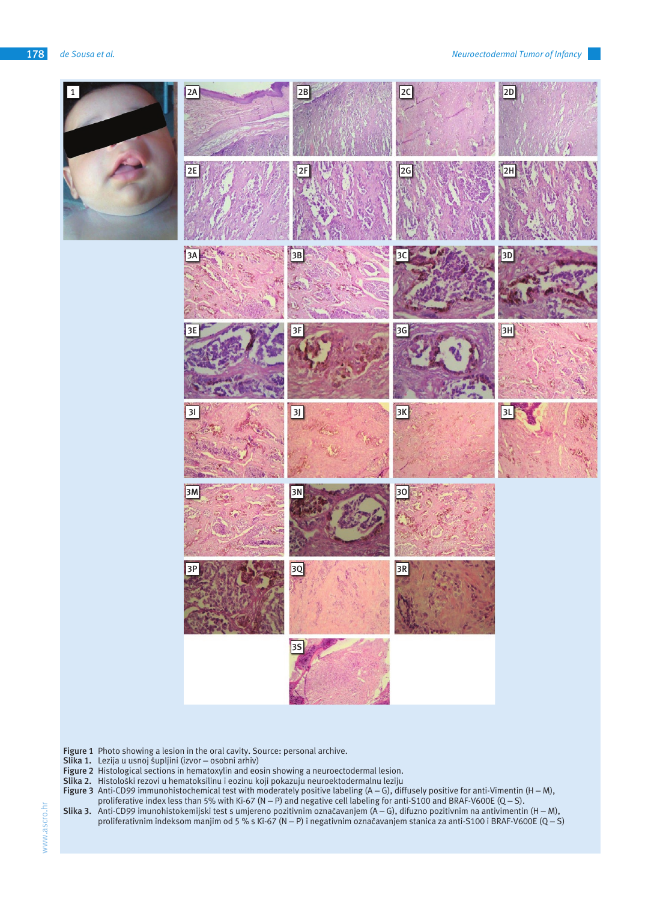

**Figure 1** Photo showing a lesion in the oral cavity. Source: personal archive.

- **Slika 1.** Lezija u usnoj šupljini (izvor osobni arhiv)
- **Figure 2** Histological sections in hematoxylin and eosin showing a neuroectodermal lesion.
- Slika 2. Histološki rezovi u hematoksilinu i eozinu koji pokazuju neuroektodermalnu leziju
- **Figure 3** Anti-CD99 immunohistochemical test with moderately positive labeling (A G), diffusely positive for anti-Vimentin (H M), proliferative index less than 5% with Ki-67 (N – P) and negative cell labeling for anti-S100 and BRAF-V600E (Q – S).
- **Slika 3.** Anti-CD99 imunohistokemijski test s umjereno pozitivnim označavanjem (A G), difuzno pozitivnim na antivimentin (H M), proliferativnim indeksom manjim od 5 % s Ki-67 (N – P) i negativnim označavanjem stanica za anti-S100 i BRAF-V600E (Q – S)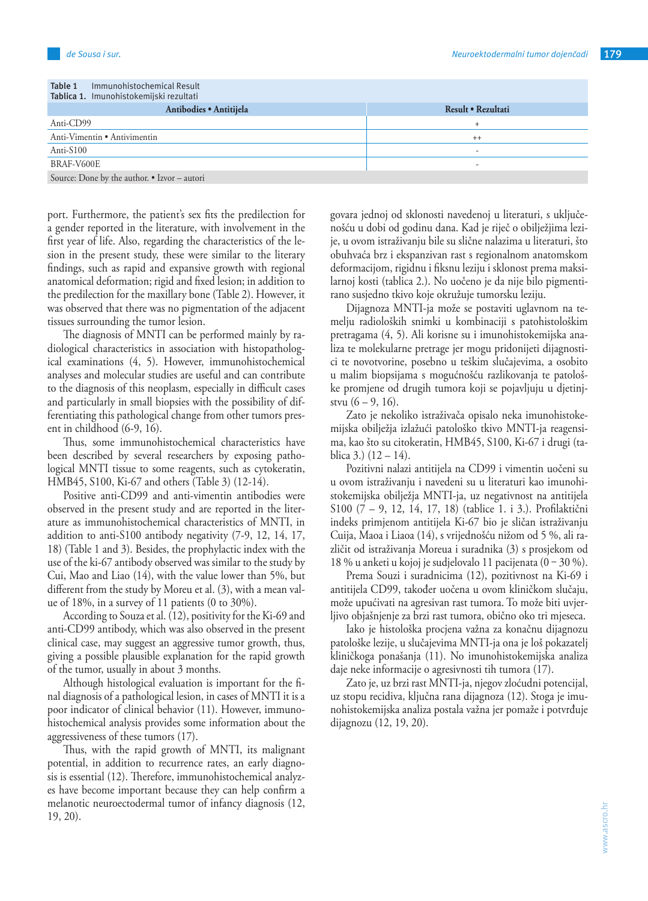| Immunohistochemical Result<br>Table 1<br>Tablica 1. Imunohistokemijski rezultati |                    |  |
|----------------------------------------------------------------------------------|--------------------|--|
| Antibodies · Antitijela                                                          | Result • Rezultati |  |
| Anti-CD99                                                                        |                    |  |
| Anti-Vimentin • Antivimentin                                                     | $++$               |  |
| Anti-S100                                                                        | -                  |  |
| BRAF-V600E                                                                       |                    |  |
| Source: Done by the author. • Izvor – autori                                     |                    |  |

port. Furthermore, the patient's sex fits the predilection for a gender reported in the literature, with involvement in the first year of life. Also, regarding the characteristics of the lesion in the present study, these were similar to the literary findings, such as rapid and expansive growth with regional anatomical deformation; rigid and fixed lesion; in addition to the predilection for the maxillary bone (Table 2). However, it was observed that there was no pigmentation of the adjacent tissues surrounding the tumor lesion.

The diagnosis of MNTI can be performed mainly by radiological characteristics in association with histopathological examinations (4, 5). However, immunohistochemical analyses and molecular studies are useful and can contribute to the diagnosis of this neoplasm, especially in difficult cases and particularly in small biopsies with the possibility of differentiating this pathological change from other tumors present in childhood (6-9, 16).

Thus, some immunohistochemical characteristics have been described by several researchers by exposing pathological MNTI tissue to some reagents, such as cytokeratin, HMB45, S100, Ki-67 and others (Table 3) (12-14).

Positive anti-CD99 and anti-vimentin antibodies were observed in the present study and are reported in the literature as immunohistochemical characteristics of MNTI, in addition to anti-S100 antibody negativity (7-9, 12, 14, 17, 18) (Table 1 and 3). Besides, the prophylactic index with the use of the ki-67 antibody observed was similar to the study by Cui, Mao and Liao (14), with the value lower than 5%, but different from the study by Moreu et al. (3), with a mean value of 18%, in a survey of 11 patients (0 to 30%).

According to Souza et al. (12), positivity for the Ki-69 and anti-CD99 antibody, which was also observed in the present clinical case, may suggest an aggressive tumor growth, thus, giving a possible plausible explanation for the rapid growth of the tumor, usually in about 3 months.

Although histological evaluation is important for the final diagnosis of a pathological lesion, in cases of MNTI it is a poor indicator of clinical behavior (11). However, immunohistochemical analysis provides some information about the aggressiveness of these tumors (17).

Thus, with the rapid growth of MNTI, its malignant potential, in addition to recurrence rates, an early diagnosis is essential (12). Therefore, immunohistochemical analyzes have become important because they can help confirm a melanotic neuroectodermal tumor of infancy diagnosis (12, 19, 20).

govara jednoj od sklonosti navedenoj u literaturi, s uključenošću u dobi od godinu dana. Kad je riječ o obilježjima lezije, u ovom istraživanju bile su slične nalazima u literaturi, što obuhvaća brz i ekspanzivan rast s regionalnom anatomskom deformacijom, rigidnu i fiksnu leziju i sklonost prema maksilarnoj kosti (tablica 2.). No uočeno je da nije bilo pigmentirano susjedno tkivo koje okružuje tumorsku leziju.

Dijagnoza MNTI-ja može se postaviti uglavnom na temelju radioloških snimki u kombinaciji s patohistološkim pretragama (4, 5). Ali korisne su i imunohistokemijska analiza te molekularne pretrage jer mogu pridonijeti dijagnostici te novotvorine, posebno u teškim slučajevima, a osobito u malim biopsijama s mogućnošću razlikovanja te patološke promjene od drugih tumora koji se pojavljuju u djetinjstvu  $(6 - 9, 16)$ .

Zato je nekoliko istraživača opisalo neka imunohistokemijska obilježja izlažući patološko tkivo MNTI-ja reagensima, kao što su citokeratin, HMB45, S100, Ki-67 i drugi (tablica 3.)  $(12 - 14)$ .

Pozitivni nalazi antitijela na CD99 i vimentin uočeni su u ovom istraživanju i navedeni su u literaturi kao imunohistokemijska obilježja MNTI-ja, uz negativnost na antitijela S100 (7 – 9, 12, 14, 17, 18) (tablice 1. i 3.). Profilaktični indeks primjenom antitijela Ki-67 bio je sličan istraživanju Cuija, Maoa i Liaoa (14), s vrijednošću nižom od 5 %, ali različit od istraživanja Moreua i suradnika (3) s prosjekom od 18 % u anketi u kojoj je sudjelovalo 11 pacijenata (0 ‒ 30 %).

Prema Souzi i suradnicima (12), pozitivnost na Ki-69 i antitijela CD99, također uočena u ovom kliničkom slučaju, može upućivati na agresivan rast tumora. To može biti uvjerljivo objašnjenje za brzi rast tumora, obično oko tri mjeseca.

Iako je histološka procjena važna za konačnu dijagnozu patološke lezije, u slučajevima MNTI-ja ona je loš pokazatelj kliničkoga ponašanja (11). No imunohistokemijska analiza daje neke informacije o agresivnosti tih tumora (17).

Zato je, uz brzi rast MNTI-ja, njegov zloćudni potencijal, uz stopu recidiva, ključna rana dijagnoza (12). Stoga je imunohistokemijska analiza postala važna jer pomaže i potvrđuje dijagnozu (12, 19, 20).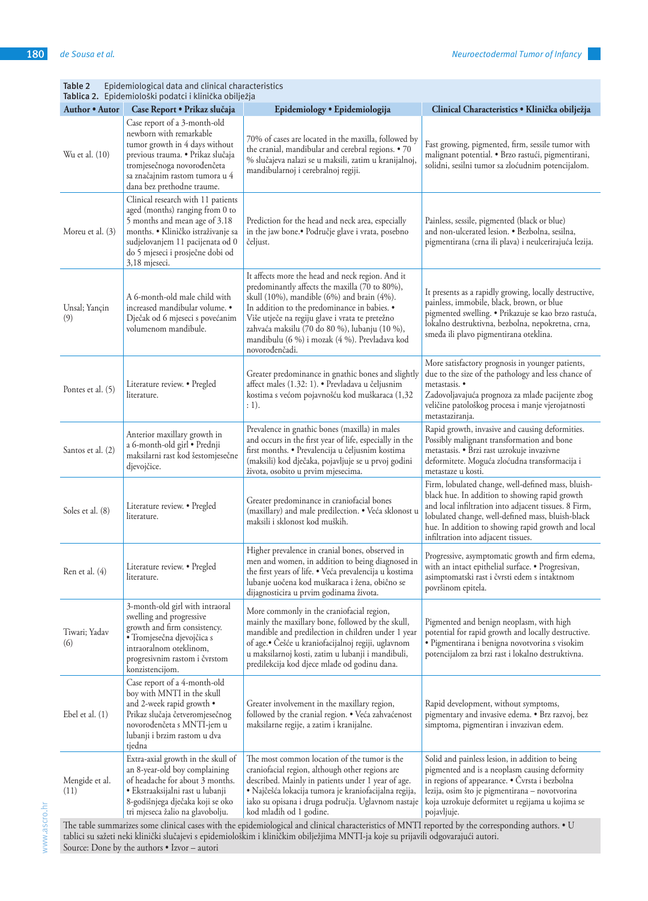| Tablica 2. Epidemiološki podatci i klinička obilježja                                                                                                                                                                                                                                  |                                                                                                                                                                                                                                       |                                                                                                                                                                                                                                                                                                                                                                         |                                                                                                                                                                                                                                                                                                                 |
|----------------------------------------------------------------------------------------------------------------------------------------------------------------------------------------------------------------------------------------------------------------------------------------|---------------------------------------------------------------------------------------------------------------------------------------------------------------------------------------------------------------------------------------|-------------------------------------------------------------------------------------------------------------------------------------------------------------------------------------------------------------------------------------------------------------------------------------------------------------------------------------------------------------------------|-----------------------------------------------------------------------------------------------------------------------------------------------------------------------------------------------------------------------------------------------------------------------------------------------------------------|
| Author • Autor                                                                                                                                                                                                                                                                         | Case Report • Prikaz slučaja                                                                                                                                                                                                          | Epidemiology • Epidemiologija                                                                                                                                                                                                                                                                                                                                           | Clinical Characteristics · Klinička obilježja                                                                                                                                                                                                                                                                   |
| Wu et al. (10)                                                                                                                                                                                                                                                                         | Case report of a 3-month-old<br>newborn with remarkable<br>tumor growth in 4 days without<br>previous trauma. • Prikaz slučaja<br>tromjesečnoga novorođenčeta<br>sa značajnim rastom tumora u 4<br>dana bez prethodne traume.         | 70% of cases are located in the maxilla, followed by<br>the cranial, mandibular and cerebral regions. • 70<br>% slučajeva nalazi se u maksili, zatim u kranijalnoj,<br>mandibularnoj i cerebralnoj regiji.                                                                                                                                                              | Fast growing, pigmented, firm, sessile tumor with<br>malignant potential. · Brzo rastući, pigmentirani,<br>solidni, sesilni tumor sa zloćudnim potencijalom.                                                                                                                                                    |
| Moreu et al. (3)                                                                                                                                                                                                                                                                       | Clinical research with 11 patients<br>aged (months) ranging from 0 to<br>5 months and mean age of 3.18<br>months. • Kliničko istraživanje sa<br>sudjelovanjem 11 pacijenata od 0<br>do 5 mjeseci i prosječne dobi od<br>3,18 mjeseci. | Prediction for the head and neck area, especially<br>in the jaw bone.• Područje glave i vrata, posebno<br>čeljust.                                                                                                                                                                                                                                                      | Painless, sessile, pigmented (black or blue)<br>and non-ulcerated lesion. . Bezbolna, sesilna,<br>pigmentirana (crna ili plava) i neulcerirajuća lezija.                                                                                                                                                        |
| Unsal; Yançin<br>(9)                                                                                                                                                                                                                                                                   | A 6-month-old male child with<br>increased mandibular volume. •<br>Dječak od 6 mjeseci s povećanim<br>volumenom mandibule.                                                                                                            | It affects more the head and neck region. And it<br>predominantly affects the maxilla (70 to 80%),<br>skull (10%), mandible (6%) and brain (4%).<br>In addition to the predominance in babies. •<br>Više utječe na regiju glave i vrata te pretežno<br>zahvaća maksilu (70 do 80 %), lubanju (10 %),<br>mandibulu (6 %) i mozak (4 %). Prevladava kod<br>novorođenčadi. | It presents as a rapidly growing, locally destructive,<br>painless, immobile, black, brown, or blue<br>pigmented swelling. • Prikazuje se kao brzo rastuća,<br>lokalno destruktivna, bezbolna, nepokretna, crna,<br>smeđa ili plavo pigmentirana oteklina.                                                      |
| Pontes et al. (5)                                                                                                                                                                                                                                                                      | Literature review. • Pregled<br>literature.                                                                                                                                                                                           | Greater predominance in gnathic bones and slightly<br>affect males (1.32: 1). • Prevladava u čeljusnim<br>kostima s većom pojavnošću kod muškaraca (1,32<br>: 1).                                                                                                                                                                                                       | More satisfactory prognosis in younger patients,<br>due to the size of the pathology and less chance of<br>metastasis. •<br>Zadovoljavajuća prognoza za mlađe pacijente zbog<br>veličine patološkog procesa i manje vjerojatnosti<br>metastaziranja.                                                            |
| Santos et al. (2)                                                                                                                                                                                                                                                                      | Anterior maxillary growth in<br>a 6-month-old girl · Prednji<br>maksilarni rast kod šestomjesečne<br>djevojčice.                                                                                                                      | Prevalence in gnathic bones (maxilla) in males<br>and occurs in the first year of life, especially in the<br>first months. • Prevalencija u čeljusnim kostima<br>(maksili) kod dječaka, pojavljuje se u prvoj godini<br>života, osobito u prvim mjesecima.                                                                                                              | Rapid growth, invasive and causing deformities.<br>Possibly malignant transformation and bone<br>metastasis. · Brzi rast uzrokuje invazivne<br>deformitete. Moguća zloćudna transformacija i<br>metastaze u kosti.                                                                                              |
| Soles et al. (8)                                                                                                                                                                                                                                                                       | Literature review. • Pregled<br>literature.                                                                                                                                                                                           | Greater predominance in craniofacial bones<br>(maxillary) and male predilection. • Veća sklonost u<br>maksili i sklonost kod muških.                                                                                                                                                                                                                                    | Firm, lobulated change, well-defined mass, bluish-<br>black hue. In addition to showing rapid growth<br>and local infiltration into adjacent tissues. 8 Firm,<br>lobulated change, well-defined mass, bluish-black<br>hue. In addition to showing rapid growth and local<br>infiltration into adjacent tissues. |
| Ren et al. (4)                                                                                                                                                                                                                                                                         | Literature review. • Pregled<br>literature.                                                                                                                                                                                           | Higher prevalence in cranial bones, observed in<br>men and women, in addition to being diagnosed in<br>the first years of life. • Veća prevalencija u kostima<br>lubanje uočena kod muškaraca i žena, obično se<br>dijagnosticira u prvim godinama života.                                                                                                              | Progressive, asymptomatic growth and firm edema,<br>with an intact epithelial surface. • Progresivan,<br>asimptomatski rast i čvrsti edem s intaktnom<br>površinom epitela.                                                                                                                                     |
| Tiwari; Yadav<br>(6)                                                                                                                                                                                                                                                                   | 3-month-old girl with intraoral<br>swelling and progressive<br>growth and firm consistency.<br>· Tromjesečna djevojčica s<br>intraoralnom oteklinom,<br>progresivnim rastom i čvrstom<br>konzistencijom.                              | More commonly in the craniofacial region,<br>mainly the maxillary bone, followed by the skull,<br>mandible and predilection in children under 1 year<br>of age.• Češće u kraniofacijalnoj regiji, uglavnom<br>u maksilarnoj kosti, zatim u lubanji i mandibuli,<br>predilekcija kod djece mlađe od godinu dana.                                                         | Pigmented and benign neoplasm, with high<br>potential for rapid growth and locally destructive.<br>· Pigmentirana i benigna novotvorina s visokim<br>potencijalom za brzi rast i lokalno destruktivna.                                                                                                          |
| Ebel et al. (1)                                                                                                                                                                                                                                                                        | Case report of a 4-month-old<br>boy with MNTI in the skull<br>and 2-week rapid growth •<br>Prikaz slučaja četveromjesečnog<br>novorođenčeta s MNTI-jem u<br>lubanji i brzim rastom u dva<br>tjedna                                    | Greater involvement in the maxillary region,<br>followed by the cranial region. • Veća zahvaćenost<br>maksilarne regije, a zatim i kranijalne.                                                                                                                                                                                                                          | Rapid development, without symptoms,<br>pigmentary and invasive edema. • Brz razvoj, bez<br>simptoma, pigmentiran i invazivan edem.                                                                                                                                                                             |
| Mengide et al.<br>(11)                                                                                                                                                                                                                                                                 | Extra-axial growth in the skull of<br>an 8-year-old boy complaining<br>of headache for about 3 months.<br>· Ekstraaksijalni rast u lubanji<br>8-godišnjega dječaka koji se oko<br>tri mjeseca žalio na glavobolju.                    | The most common location of the tumor is the<br>craniofacial region, although other regions are<br>described. Mainly in patients under 1 year of age.<br>· Najčešća lokacija tumora je kraniofacijalna regija,<br>iako su opisana i druga područja. Uglavnom nastaje<br>kod mlađih od 1 godine.                                                                         | Solid and painless lesion, in addition to being<br>pigmented and is a neoplasm causing deformity<br>in regions of appearance. • Čvrsta i bezbolna<br>lezija, osim što je pigmentirana - novotvorina<br>koja uzrokuje deformitet u regijama u kojima se<br>pojavljuje.                                           |
| The table summarizes some clinical cases with the epidemiological and clinical characteristics of MNTI reported by the corresponding authors. • U<br>tablici su sažeti neki klinički slučajevi s epidemiološkim i kliničkim obilježjima MNTI-ja koje su prijavili odgovarajući autori. |                                                                                                                                                                                                                                       |                                                                                                                                                                                                                                                                                                                                                                         |                                                                                                                                                                                                                                                                                                                 |

www.ascro.hr www.ascro.hr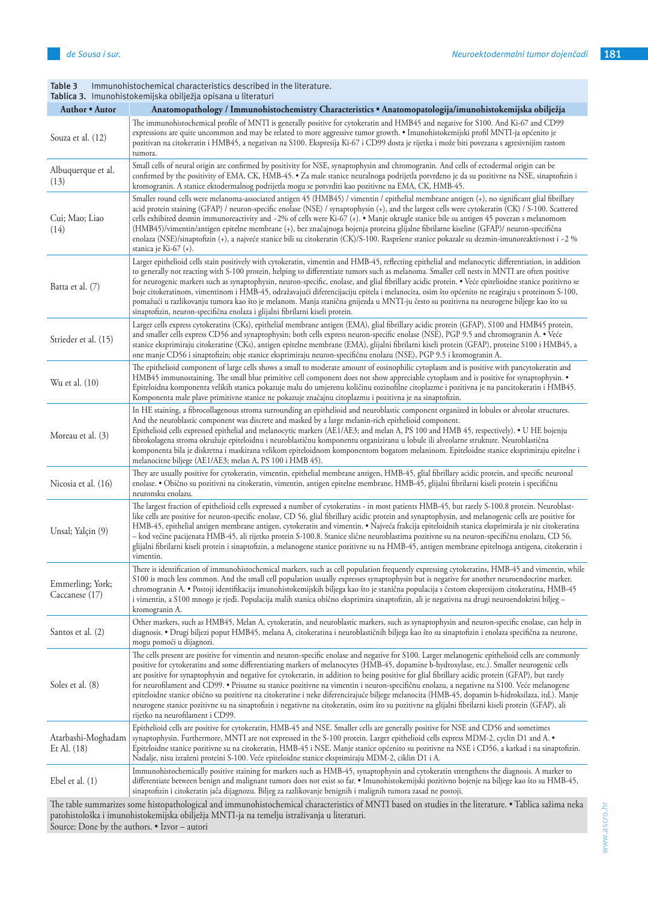|                                     | <b>Tablica 5.</b> Thiunonistokeniijska obiljezja opisana u literaturi                                                                                                                                                                                                                                                                                                                                                                                                                                                                                                                                                                                                                                                                                                                                                                                                                                                                         |
|-------------------------------------|-----------------------------------------------------------------------------------------------------------------------------------------------------------------------------------------------------------------------------------------------------------------------------------------------------------------------------------------------------------------------------------------------------------------------------------------------------------------------------------------------------------------------------------------------------------------------------------------------------------------------------------------------------------------------------------------------------------------------------------------------------------------------------------------------------------------------------------------------------------------------------------------------------------------------------------------------|
| Author • Autor                      | Anatomopathology / Immunohistochemistry Characteristics · Anatomopatologija/imunohistokemijska obilježja                                                                                                                                                                                                                                                                                                                                                                                                                                                                                                                                                                                                                                                                                                                                                                                                                                      |
| Souza et al. (12)                   | The immunohistochemical profile of MNTI is generally positive for cytokeratin and HMB45 and negative for S100. And Ki-67 and CD99<br>expressions are quite uncommon and may be related to more aggressive tumor growth. • Imunohistokemijski profil MNTI-ja općenito je<br>pozitivan na citokeratin i HMB45, a negativan na S100. Ekspresija Ki-67 i CD99 dosta je rijetka i može biti povezana s agresivnijim rastom<br>tumora.                                                                                                                                                                                                                                                                                                                                                                                                                                                                                                              |
| Albuquerque et al.<br>(13)          | Small cells of neural origin are confirmed by positivity for NSE, synaptophysin and chromogranin. And cells of ectodermal origin can be<br>confirmed by the positivity of EMA, CK, HMB-45. • Za male stanice neuralnoga podrijetla potvrđeno je da su pozitivne na NSE, sinaptofizin i<br>kromogranin. A stanice ektodermalnog podrijetla mogu se potvrditi kao pozitivne na EMA, CK, HMB-45.                                                                                                                                                                                                                                                                                                                                                                                                                                                                                                                                                 |
| Cui; Mao; Liao<br>(14)              | Smaller round cells were melanoma-associated antigen 45 (HMB45) / vimentin / epithelial membrane antigen (+), no significant glial fibrillary<br>acid protein staining (GFAP) / neuron-specific enolase (NSE) / synaptophysin (+), and the largest cells were cytokeratin (CK) / S-100. Scattered<br>cells exhibited desmin immunoreactivity and -2% of cells were Ki-67 (+). • Manje okrugle stanice bile su antigen 45 povezan s melanomom<br>(HMB45)/vimentin/antigen epitelne membrane (+), bez značajnoga bojenja proteina glijalne fibrilarne kiseline (GFAP)/ neuron-specifična<br>enolaza (NSE)/sinaptofizin (+), a najveće stanice bili su citokeratin (CK)/S-100. Raspršene stanice pokazale su dezmin-imunoreaktivnost i -2 %<br>stanica je Ki-67 (+).                                                                                                                                                                             |
| Batta et al. (7)                    | Larger epithelioid cells stain positively with cytokeratin, vimentin and HMB-45, reflecting epithelial and melanocytic differentiation, in addition<br>to generally not reacting with S-100 protein, helping to differentiate tumors such as melanoma. Smaller cell nests in MNTI are often positive<br>for neurogenic markers such as synaptophysin, neuron-specific, enolase, and glial fibrillary acidic protein. • Veće epitelioidne stanice pozitivno se<br>boje citokeratinom, vimentinom i HMB-45, odražavajući diferencijaciju epitela i melanocita, osim što općenito ne reagiraju s proteinom S-100,<br>pomažući u razlikovanju tumora kao što je melanom. Manja stanična gnijezda u MNTI-ju često su pozitivna na neurogene biljege kao što su<br>sinaptofizin, neuron-specifična enolaza i glijalni fibrilarni kiseli protein.                                                                                                    |
| Strieder et al. (15)                | Larger cells express cytokeratins (CKs), epithelial membrane antigen (EMA), glial fibrillary acidic protein (GFAP), S100 and HMB45 protein,<br>and smaller cells express CD56 and synaptophysin; both cells express neuron-specific enolase (NSE), PGP 9.5 and chromogranin A. • Veće<br>stanice eksprimiraju citokeratine (CKs), antigen epitelne membrane (EMA), glijalni fibrilarni kiseli protein (GFAP), proteine S100 i HMB45, a<br>one manje CD56 i sinaptofizin; obje stanice eksprimiraju neuron-specifičnu enolazu (NSE), PGP 9.5 i kromogranin A.                                                                                                                                                                                                                                                                                                                                                                                  |
| Wu et al. (10)                      | The epithelioid component of large cells shows a small to moderate amount of eosinophilic cytoplasm and is positive with pancytokeratin and<br>HMB45 immunostaining. The small blue primitive cell component does not show appreciable cytoplasm and is positive for synaptophysin. •<br>Epiteloidna komponenta velikih stanica pokazuje malu do umjerenu količinu eozinofilne citoplazme i pozitivna je na pancitokeratin i HMB45.<br>Komponenta male plave primitivne stanice ne pokazuje značajnu citoplazmu i pozitivna je na sinaptofizin.                                                                                                                                                                                                                                                                                                                                                                                               |
| Moreau et al. (3)                   | In HE staining, a fibrocollagenous stroma surrounding an epithelioid and neuroblastic component organized in lobules or alveolar structures.<br>And the neuroblastic component was discrete and masked by a large melanin-rich epithelioid component.<br>Epithelioid cells expressed epithelial and melanocytic markers (AE1/AE3; and melan A, PS 100 and HMB 45, respectively). • U HE bojenju<br>fibrokolagena stroma okružuje epiteloidnu i neuroblastičnu komponentu organiziranu u lobule ili alveolarne strukture. Neuroblastična<br>komponenta bila je diskretna i maskirana velikom epiteloidnom komponentom bogatom melaninom. Epiteloidne stanice eksprimiraju epitelne i<br>melanocitne biljege (AE1/AE3; melan A, PS 100 i HMB 45).                                                                                                                                                                                               |
| Nicosia et al. (16)                 | They are usually positive for cytokeratin, vimentin, epithelial membrane antigen, HMB-45, glial fibrillary acidic protein, and specific neuronal<br>enolase. • Obično su pozitivni na citokeratin, vimentin, antigen epitelne membrane, HMB-45, glijalni fibrilarni kiseli protein i specifičnu<br>neuronsku enolazu.                                                                                                                                                                                                                                                                                                                                                                                                                                                                                                                                                                                                                         |
| Unsal; Yalçin (9)                   | The largest fraction of epithelioid cells expressed a number of cytokeratins - in most patients HMB-45, but rarely S-100.8 protein. Neuroblast-<br>like cells are positive for neuron-specific enolase, CD 56, glial fibrillary acidic protein and synaptophysin, and melanogenic cells are positive for<br>HMB-45, epithelial antigen membrane antigen, cytokeratin and vimentin. • Najveća frakcija epiteloidnih stanica eksprimirala je niz citokeratina<br>– kod većine pacijenata HMB-45, ali rijetko protein S-100.8. Stanice slične neuroblastima pozitivne su na neuron-specifičnu enolazu, CD 56,<br>glijalni fibrilarni kiseli protein i sinaptofizin, a melanogene stanice pozitivne su na HMB-45, antigen membrane epitelnoga antigena, citokeratin i<br>vimentin.                                                                                                                                                                |
| Emmerling; York;<br>Caccanese (17)  | There is identification of immunohistochemical markers, such as cell population frequently expressing cytokeratins, HMB-45 and vimentin, while<br>\$100 is much less common. And the small cell population usually expresses synaptophysin but is negative for another neuroendocrine marker,<br>chromogranin A. · Postoji identifikacija imunohistokemijskih biljega kao što je stanična populacija s čestom ekspresijom citokeratina, HMB-45<br>i vimentin, a S100 mnogo je rjeđi. Populacija malih stanica obično eksprimira sinaptofizin, ali je negativna na drugi neuroendokrini biljeg -<br>kromogranin A.                                                                                                                                                                                                                                                                                                                             |
| Santos et al. (2)                   | Other markers, such as HMB45, Melan A, cytokeratin, and neuroblastic markers, such as synaptophysin and neuron-specific enolase, can help in<br>diagnosis. • Drugi biljezi poput HMB45, melana A, citokeratina i neuroblastičnih biljega kao što su sinaptofizin i enolaza specifična za neurone,<br>mogu pomoći u dijagnozi.                                                                                                                                                                                                                                                                                                                                                                                                                                                                                                                                                                                                                 |
| Soles et al. (8)                    | The cells present are positive for vimentin and neuron-specific enolase and negative for S100. Larger melanogenic epithelioid cells are commonly<br>positive for cytokeratins and some differentiating markers of melanocytes (HMB-45, dopamine b-hydroxylase, etc.). Smaller neurogenic cells<br>are positive for synaptophysin and negative for cytokeratin, in addition to being positive for glial fibrillary acidic protein (GFAP), but rarely<br>for neurofilament and CD99. • Prisutne su stanice pozitivne na vimentin i neuron-specifičnu enolazu, a negativne na S100. Veće melanogene<br>epiteloidne stanice obično su pozitivne na citokeratine i neke diferencirajuće biljege melanocita (HMB-45, dopamin b-hidroksilaza, itd.). Manje<br>neurogene stanice pozitivne su na sinaptofizin i negativne na citokeratin, osim što su pozitivne na glijalni fibrilarni kiseli protein (GFAP), ali<br>rijetko na neurofilament i CD99. |
| Atarbashi-Moghadam<br>Et Al. $(18)$ | Epithelioid cells are positive for cytokeratin, HMB-45 and NSE. Smaller cells are generally positive for NSE and CD56 and sometimes<br>synaptophysin. Furthermore, MNTI are not expressed in the S-100 protein. Larger epithelioid cells express MDM-2, cyclin D1 and A. •<br>Epiteloidne stanice pozitivne su na citokeratin, HMB-45 i NSE. Manje stanice općenito su pozitivne na NSE i CD56, a katkad i na sinaptofizin.<br>Nadalje, nisu izraženi proteini S-100. Veće epiteloidne stanice eksprimiraju MDM-2, ciklin D1 i A.                                                                                                                                                                                                                                                                                                                                                                                                             |
| Ebel et al. $(1)$                   | Immunohistochemically positive staining for markers such as HMB-45, synaptophysin and cytokeratin strengthens the diagnosis. A marker to<br>differentiate between benign and malignant tumors does not exist so far. • Imunohistokemijski pozitivno bojenje na biljege kao što su HMB-45,<br>sinaptofizin i citokeratin jača dijagnozu. Biljeg za razlikovanje benignih i malignih tumora zasad ne postoji.                                                                                                                                                                                                                                                                                                                                                                                                                                                                                                                                   |
|                                     | The table summarizes some histopathological and immunohistochemical characteristics of MNTI based on studies in the literature. • Tablica sažima neka                                                                                                                                                                                                                                                                                                                                                                                                                                                                                                                                                                                                                                                                                                                                                                                         |

**Table 3** Immunohistochemical characteristics described in the literature. **Tablica 3.** Imunohistokemijska obilježja opisana u literaturi

patohistološka i imunohistokemijska obilježja MNTI-ja na temelju istraživanja u literaturi. Source: Done by the authors. • Izvor – autori